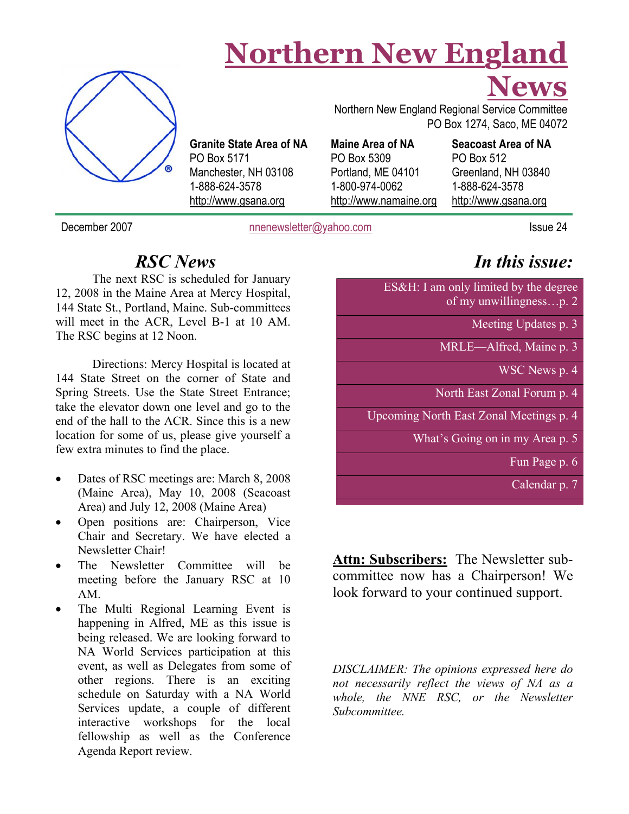## **Northern New England**



The RSC begins at 12 Noon.

**Granite State Area of NA**  PO Box 5171 Manchester, NH 03108 1-888-624-3578 http://www.gsana.org

 PO Box 1274, Saco, ME 04072 **Maine Area of NA**  PO Box 5309

Portland, ME 04101 1-800-974-0062 http://www.namaine.org

#### **Seacoast Area of NA**  PO Box 512 Greenland, NH 03840 1-888-624-3578 http://www.gsana.org

December 2007 hnenewsletter@yahoo.com Issue 24

## *In this issue:*

**News**

ES&H: I am only limited by the degree of my unwillingness…p. 2

Meeting Updates p. 3

MRLE—Alfred, Maine p. 3

WSC News p. 4

North East Zonal Forum p. 4

Upcoming North East Zonal Meetings p. 4

What's Going on in my Area p. 5

Fun Page p. 6

Calendar p. 7

**Attn: Subscribers:** The Newsletter subcommittee now has a Chairperson! We look forward to your continued support.

*DISCLAIMER: The opinions expressed here do not necessarily reflect the views of NA as a whole, the NNE RSC, or the Newsletter Subcommittee.* 

Directions: Mercy Hospital is located at 144 State Street on the corner of State and Spring Streets. Use the State Street Entrance; take the elevator down one level and go to the end of the hall to the ACR. Since this is a new location for some of us, please give yourself a few extra minutes to find the place.

*RSC News* 

12, 2008 in the Maine Area at Mercy Hospital, 144 State St., Portland, Maine. Sub-committees will meet in the ACR, Level B-1 at 10 AM.

The next RSC is scheduled for January

- Dates of RSC meetings are: March 8, 2008 (Maine Area), May 10, 2008 (Seacoast Area) and July 12, 2008 (Maine Area)
- Open positions are: Chairperson, Vice Chair and Secretary. We have elected a Newsletter Chair!
- The Newsletter Committee will be meeting before the January RSC at 10 AM.
- The Multi Regional Learning Event is happening in Alfred, ME as this issue is being released. We are looking forward to NA World Services participation at this event, as well as Delegates from some of other regions. There is an exciting schedule on Saturday with a NA World Services update, a couple of different interactive workshops for the local fellowship as well as the Conference Agenda Report review.

Northern New England Regional Service Committee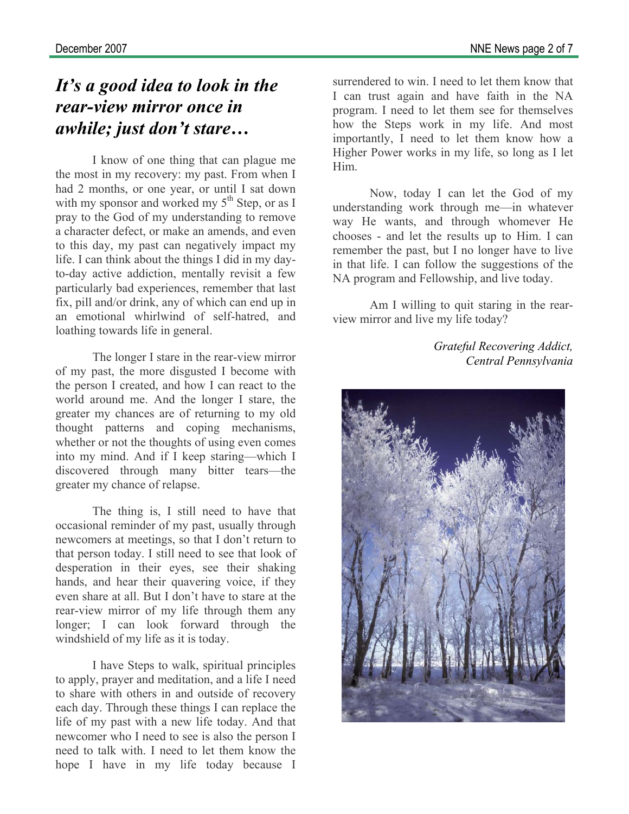## *It's a good idea to look in the rear-view mirror once in awhile; just don't stare…*

I know of one thing that can plague me the most in my recovery: my past. From when I had 2 months, or one year, or until I sat down with my sponsor and worked my  $5<sup>th</sup>$  Step, or as I pray to the God of my understanding to remove a character defect, or make an amends, and even to this day, my past can negatively impact my life. I can think about the things I did in my dayto-day active addiction, mentally revisit a few particularly bad experiences, remember that last fix, pill and/or drink, any of which can end up in an emotional whirlwind of self-hatred, and loathing towards life in general.

 The longer I stare in the rear-view mirror of my past, the more disgusted I become with the person I created, and how I can react to the world around me. And the longer I stare, the greater my chances are of returning to my old thought patterns and coping mechanisms, whether or not the thoughts of using even comes into my mind. And if I keep staring—which I discovered through many bitter tears—the greater my chance of relapse.

 The thing is, I still need to have that occasional reminder of my past, usually through newcomers at meetings, so that I don't return to that person today. I still need to see that look of desperation in their eyes, see their shaking hands, and hear their quavering voice, if they even share at all. But I don't have to stare at the rear-view mirror of my life through them any longer; I can look forward through the windshield of my life as it is today.

 I have Steps to walk, spiritual principles to apply, prayer and meditation, and a life I need to share with others in and outside of recovery each day. Through these things I can replace the life of my past with a new life today. And that newcomer who I need to see is also the person I need to talk with. I need to let them know the hope I have in my life today because I

surrendered to win. I need to let them know that I can trust again and have faith in the NA program. I need to let them see for themselves how the Steps work in my life. And most importantly, I need to let them know how a Higher Power works in my life, so long as I let Him.

Now, today I can let the God of my understanding work through me—in whatever way He wants, and through whomever He chooses - and let the results up to Him. I can remember the past, but I no longer have to live in that life. I can follow the suggestions of the NA program and Fellowship, and live today.

 Am I willing to quit staring in the rearview mirror and live my life today?

> *Grateful Recovering Addict, Central Pennsylvania*

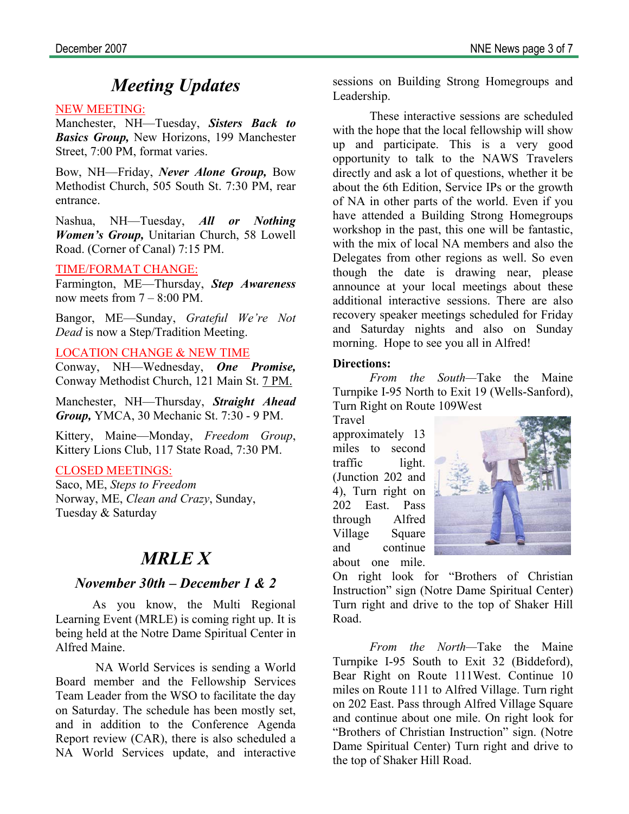## *Meeting Updates*

#### NEW MEETING:

Manchester, NH—Tuesday, *Sisters Back to Basics Group,* New Horizons, 199 Manchester Street, 7:00 PM, format varies.

Bow, NH—Friday, *Never Alone Group,* Bow Methodist Church, 505 South St. 7:30 PM, rear entrance.

Nashua, NH—Tuesday, *All or Nothing Women's Group,* Unitarian Church, 58 Lowell Road. (Corner of Canal) 7:15 PM.

#### TIME/FORMAT CHANGE:

Farmington, ME—Thursday, *Step Awareness*  now meets from  $7 - 8:00$  PM.

Bangor, ME—Sunday, *Grateful We're Not Dead* is now a Step/Tradition Meeting.

#### LOCATION CHANGE & NEW TIME

Conway, NH—Wednesday, *One Promise,*  Conway Methodist Church, 121 Main St. 7 PM.

Manchester, NH—Thursday, *Straight Ahead Group,* YMCA, 30 Mechanic St. 7:30 - 9 PM.

Kittery, Maine—Monday, *Freedom Group*, Kittery Lions Club, 117 State Road, 7:30 PM.

#### CLOSED MEETINGS:

Saco, ME, *Steps to Freedom*  Norway, ME, *Clean and Crazy*, Sunday, Tuesday & Saturday

### *MRLE X*

#### *November 30th – December 1 & 2*

As you know, the Multi Regional Learning Event (MRLE) is coming right up. It is being held at the Notre Dame Spiritual Center in Alfred Maine.

 NA World Services is sending a World Board member and the Fellowship Services Team Leader from the WSO to facilitate the day on Saturday. The schedule has been mostly set, and in addition to the Conference Agenda Report review (CAR), there is also scheduled a NA World Services update, and interactive

sessions on Building Strong Homegroups and Leadership.

 These interactive sessions are scheduled with the hope that the local fellowship will show up and participate. This is a very good opportunity to talk to the NAWS Travelers directly and ask a lot of questions, whether it be about the 6th Edition, Service IPs or the growth of NA in other parts of the world. Even if you have attended a Building Strong Homegroups workshop in the past, this one will be fantastic, with the mix of local NA members and also the Delegates from other regions as well. So even though the date is drawing near, please announce at your local meetings about these additional interactive sessions. There are also recovery speaker meetings scheduled for Friday and Saturday nights and also on Sunday morning. Hope to see you all in Alfred!

#### **Directions:**

*From the South—*Take the Maine Turnpike I-95 North to Exit 19 (Wells-Sanford), Turn Right on Route 109West

Travel approximately 13 miles to second traffic light. (Junction 202 and 4), Turn right on 202 East. Pass through Alfred Village Square and continue about one mile.



On right look for "Brothers of Christian Instruction" sign (Notre Dame Spiritual Center) Turn right and drive to the top of Shaker Hill Road.

*From the North—*Take the Maine Turnpike I-95 South to Exit 32 (Biddeford), Bear Right on Route 111West. Continue 10 miles on Route 111 to Alfred Village. Turn right on 202 East. Pass through Alfred Village Square and continue about one mile. On right look for "Brothers of Christian Instruction" sign. (Notre Dame Spiritual Center) Turn right and drive to the top of Shaker Hill Road.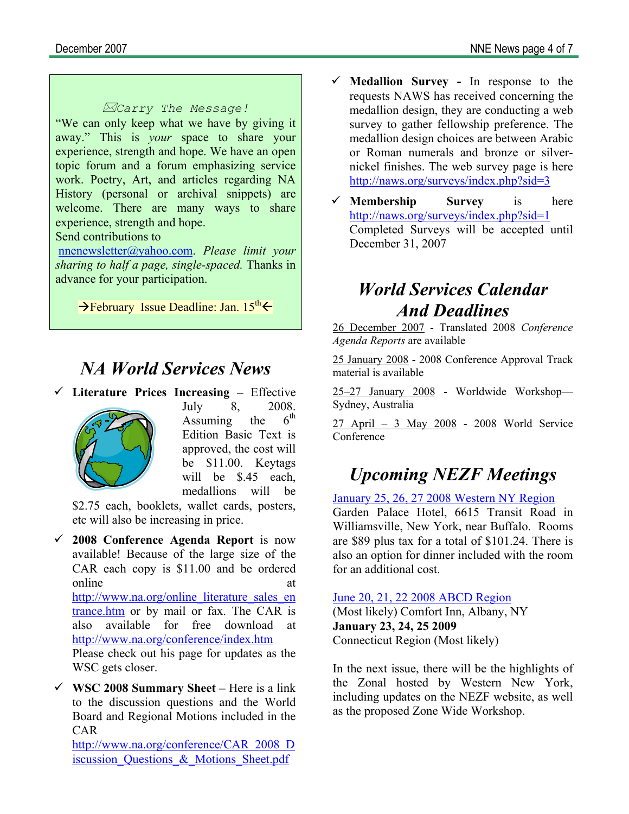#### *Carry The Message!*

"We can only keep what we have by giving it away." This is *your* space to share your experience, strength and hope. We have an open topic forum and a forum emphasizing service work. Poetry, Art, and articles regarding NA History (personal or archival snippets) are welcome. There are many ways to share experience, strength and hope.

#### Send contributions to

nnenewsletter@yahoo.com. *Please limit your sharing to half a page, single-spaced.* Thanks in advance for your participation.

 $\rightarrow$  February Issue Deadline: Jan. 15<sup>th</sup> $\leftarrow$ 

## *NA World Services News*

9 **Literature Prices Increasing –** Effective



July 8,  $2008$ .<br>Assuming the  $6^{\text{th}}$  $Assuming$  the Edition Basic Text is approved, the cost will be \$11.00. Keytags will be \$.45 each. medallions will be

\$2.75 each, booklets, wallet cards, posters, etc will also be increasing in price.

- 9 **2008 Conference Agenda Report** is now available! Because of the large size of the CAR each copy is \$11.00 and be ordered online at a state of  $\alpha$  at  $\alpha$ http://www.na.org/online\_literature\_sales\_en trance.htm or by mail or fax. The CAR is also available for free download at http://www.na.org/conference/index.htm Please check out his page for updates as the WSC gets closer.
- $\checkmark$  WSC 2008 Summary Sheet Here is a link to the discussion questions and the World Board and Regional Motions included in the CAR

http://www.na.org/conference/CAR\_2008\_D iscussion Questions & Motions Sheet.pdf

- 9 **Medallion Survey** In response to the requests NAWS has received concerning the medallion design, they are conducting a web survey to gather fellowship preference. The medallion design choices are between Arabic or Roman numerals and bronze or silvernickel finishes. The web survey page is here http://naws.org/surveys/index.php?sid=3
- 9 **Membership Survey** is here http://naws.org/surveys/index.php?sid=1 Completed Surveys will be accepted until December 31, 2007

## *World Services Calendar And Deadlines*

26 December 2007 - Translated 2008 *Conference Agenda Reports* are available

25 January 2008 - 2008 Conference Approval Track material is available

25–27 January 2008 - Worldwide Workshop— Sydney, Australia

 $27$  April – 3 May 2008 - 2008 World Service Conference

## *Upcoming NEZF Meetings*

January 25, 26, 27 2008 Western NY Region

Garden Palace Hotel, 6615 Transit Road in Williamsville, New York, near Buffalo. Rooms are \$89 plus tax for a total of \$101.24. There is also an option for dinner included with the room for an additional cost.

June 20, 21, 22 2008 ABCD Region

(Most likely) Comfort Inn, Albany, NY **January 23, 24, 25 2009** Connecticut Region (Most likely)

In the next issue, there will be the highlights of the Zonal hosted by Western New York, including updates on the NEZF website, as well as the proposed Zone Wide Workshop.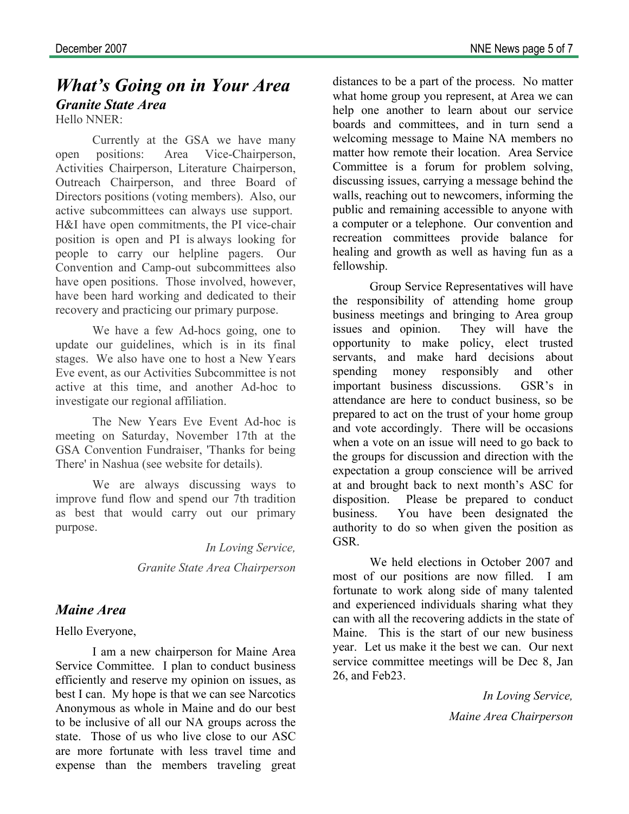## *What's Going on in Your Area Granite State Area*

Hello NNER:

Currently at the GSA we have many open positions: Area Vice-Chairperson, Activities Chairperson, Literature Chairperson, Outreach Chairperson, and three Board of Directors positions (voting members). Also, our active subcommittees can always use support. H&I have open commitments, the PI vice-chair position is open and PI is always looking for people to carry our helpline pagers. Our Convention and Camp-out subcommittees also have open positions. Those involved, however, have been hard working and dedicated to their recovery and practicing our primary purpose.

 We have a few Ad-hocs going, one to update our guidelines, which is in its final stages. We also have one to host a New Years Eve event, as our Activities Subcommittee is not active at this time, and another Ad-hoc to investigate our regional affiliation.

 The New Years Eve Event Ad-hoc is meeting on Saturday, November 17th at the GSA Convention Fundraiser, 'Thanks for being There' in Nashua (see website for details).

 We are always discussing ways to improve fund flow and spend our 7th tradition as best that would carry out our primary purpose.

*In Loving Service,* 

*Granite State Area Chairperson* 

#### *Maine Area*

Hello Everyone,

I am a new chairperson for Maine Area Service Committee. I plan to conduct business efficiently and reserve my opinion on issues, as best I can. My hope is that we can see Narcotics Anonymous as whole in Maine and do our best to be inclusive of all our NA groups across the state. Those of us who live close to our ASC are more fortunate with less travel time and expense than the members traveling great

distances to be a part of the process. No matter what home group you represent, at Area we can help one another to learn about our service boards and committees, and in turn send a welcoming message to Maine NA members no matter how remote their location. Area Service Committee is a forum for problem solving, discussing issues, carrying a message behind the walls, reaching out to newcomers, informing the public and remaining accessible to anyone with a computer or a telephone. Our convention and recreation committees provide balance for healing and growth as well as having fun as a fellowship.

Group Service Representatives will have the responsibility of attending home group business meetings and bringing to Area group issues and opinion. They will have the opportunity to make policy, elect trusted servants, and make hard decisions about spending money responsibly and other important business discussions. GSR's in attendance are here to conduct business, so be prepared to act on the trust of your home group and vote accordingly. There will be occasions when a vote on an issue will need to go back to the groups for discussion and direction with the expectation a group conscience will be arrived at and brought back to next month's ASC for disposition. Please be prepared to conduct business. You have been designated the authority to do so when given the position as GSR.

We held elections in October 2007 and most of our positions are now filled. I am fortunate to work along side of many talented and experienced individuals sharing what they can with all the recovering addicts in the state of Maine. This is the start of our new business year. Let us make it the best we can. Our next service committee meetings will be Dec 8, Jan 26, and Feb23.

> *In Loving Service, Maine Area Chairperson*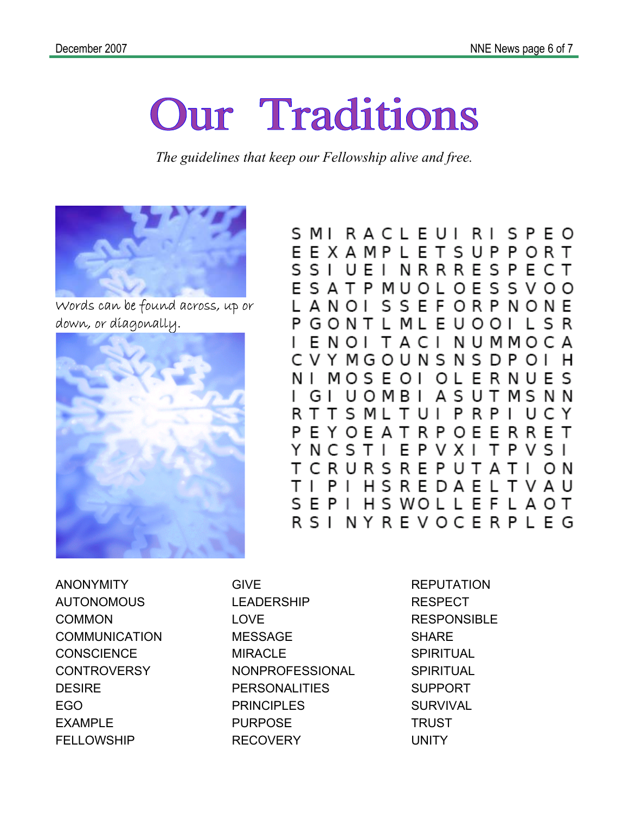# **Our Traditions**

*The guidelines that keep our Fellowship alive and free.* 



Words can be found across, up or down, or diagonally.



S M I R A C L E U I R I S P E O EEXAMPLETSUPPORT SSI UEI NRRRESPECT E S A T P MU O L O E S S V O O L A N O I S S E F O R P N O N E P GONT L ML E U OOI L S R E N O I T A C I NUMMOCA L C V Y M G O U N S N S D P O I н NIMOSEOI **OLERNUES** UOMBI G I A S U T M S N N RTTS MLTUIPRPIUCY P E Y O E A T R P O E E R R E T EPVXI YNCSTI TPVSI T C R U R S R E P U T A T I O N HSREDAELTVAU T I PI SEPI **HSWOLLEFLAOT** R S I N Y R E V O C E R P L E G

ANONYMITY AUTONOMOUS COMMON **COMMUNICATION CONSCIENCE CONTROVERSY DESIRE** EGO EXAMPLE **FELLOWSHIP** 

GIVE LEADERSHIP LOVE MESSAGE MIRACLE NONPROFESSIONAL **PERSONALITIES** PRINCIPLES PURPOSE **RECOVERY** 

**REPUTATION** RESPECT RESPONSIBLE **SHARE SPIRITUAL SPIRITUAL** SUPPORT **SURVIVAL TRUST** UNITY